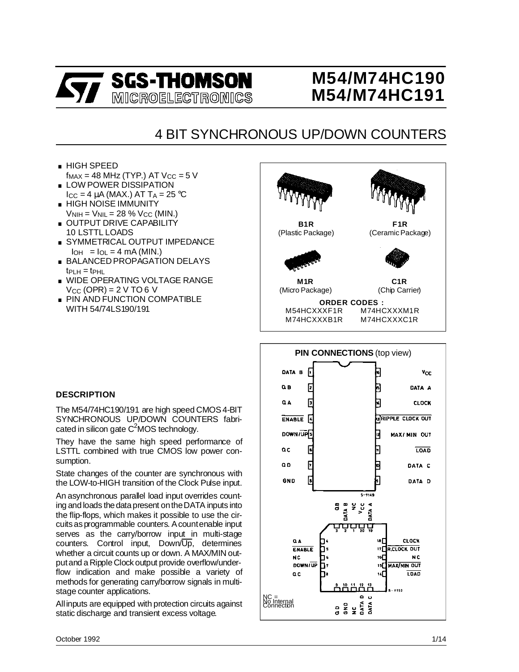

# **M54/M74HC190 M54/M74HC191**

# 4 BIT SYNCHRONOUS UP/DOWN COUNTERS

- . HIGH SPEED  $f_\mathsf{MAX}$  = 48 MHz (TYP.) AT V $_\mathrm{CC}$  = 5 V ■ HIGH SPEED<br>  $f_{MAX} = 48$  MHz (TYP.) AT V $_{CC}$ <br>
■ LOW POWER DISSIPATION
- $I_{\rm CC}$  = 4  $\mu$ A (MAX.) AT T<sub>A</sub> = 25 °C ■ LOW POWER DISSIPATION<br> $I_{\text{CC}}$  = 4 μA (MAX.) AT T<sub>A</sub> = 25<br>■ HIGH NOISE IMMUNITY
- $V<sub>NIH</sub> = V<sub>NIL</sub> = 28 % V<sub>CC</sub> (MIN.)$
- . OUTPUT DRIVE CAPABILITY 10 LSTTL LOADS
- . SYMMETRICAL OUTPUT IMPEDANCE  $I_{OH}$  =  $I_{OL}$  = 4 mA (MIN.)
- . BALANCED PROPAGATION DELAYS  $tp<sub>CH</sub> = tp<sub>HL</sub>$
- . WIDE OPERATING VOLTAGE RANGE  $V_{CC}$  (OPR) = 2 V TO 6 V
- **PIN AND FUNCTION COMPATIBLE** WITH 54/74LS190/191



## **DESCRIPTION**

The M54/74HC190/191 are high speed CMOS 4-BIT SYNCHRONOUS UP/DOWN COUNTERS fabricated in silicon gate C<sup>2</sup>MOS technology.

They have the same high speed performance of LSTTL combined with true CMOS low power consumption.

State changes of the counter are synchronous with the LOW-to-HIGH transition of the Clock Pulse input.

An asynchronous parallel load input overrides counting and loads the data present on the DATA inputs into the flip-flops, which makes it possible to use the circuitsasprogrammable counters. Acountenable input serves as the carry/borrow input in multi-stage counters. Control input, Down/Up, determines whether a circuit counts up or down. A MAX/MIN outputand a Ripple Clock output provide overflow/underflow indication and make possible a variety of methods for generating carry/borrow signals in multistage counter applications.

Allinputs are equipped with protection circuits against static discharge and transient excess voltage.

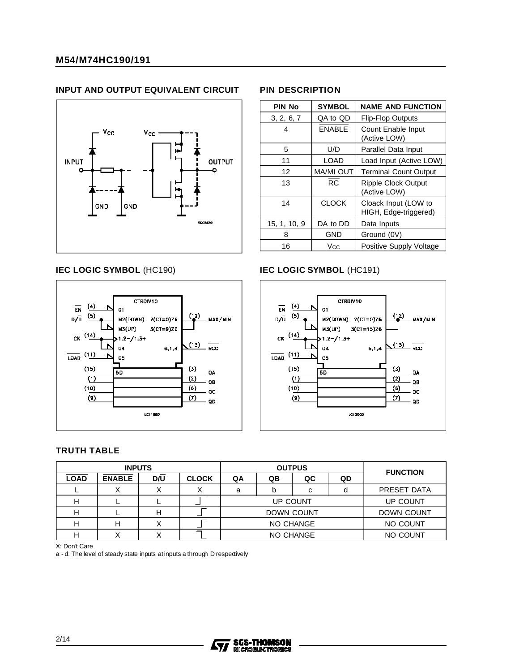#### **INPUT AND OUTPUT EQUIVALENT CIRCUIT**



# **PIN DESCRIPTION**

| <b>PIN No</b> | <b>SYMBOL</b>    | <b>NAME AND FUNCTION</b>                      |  |  |  |  |  |
|---------------|------------------|-----------------------------------------------|--|--|--|--|--|
| 3, 2, 6, 7    | QA to QD         | <b>Flip-Flop Outputs</b>                      |  |  |  |  |  |
| 4             | <b>ENABLE</b>    | Count Enable Input<br>(Active LOW)            |  |  |  |  |  |
| 5             | U/D              | Parallel Data Input                           |  |  |  |  |  |
| 11            | <b>LOAD</b>      | Load Input (Active LOW)                       |  |  |  |  |  |
| 12            | <b>MA/MI OUT</b> | <b>Terminal Count Output</b>                  |  |  |  |  |  |
| 13            | RC               | <b>Ripple Clock Output</b><br>(Active LOW)    |  |  |  |  |  |
| 14            | <b>CLOCK</b>     | Cloack Input (LOW to<br>HIGH, Edge-triggered) |  |  |  |  |  |
| 15, 1, 10, 9  | DA to DD         | Data Inputs                                   |  |  |  |  |  |
| 8             | GND              | Ground (0V)                                   |  |  |  |  |  |
| 16            | Vcc              | Positive Supply Voltage                       |  |  |  |  |  |



#### **IEC LOGIC SYMBOL** (HC190) **IEC LOGIC SYMBOL** (HC191)



#### **TRUTH TABLE**

|             | <b>INPUTS</b> |     |              |    |                   | <b>OUTPUS</b> |          | <b>FUNCTION</b> |  |  |  |
|-------------|---------------|-----|--------------|----|-------------------|---------------|----------|-----------------|--|--|--|
| <b>LOAD</b> | <b>ENABLE</b> | D/U | <b>CLOCK</b> | QA | QB                | QC            | QD       |                 |  |  |  |
|             |               |     |              | a  |                   | C             |          | PRESET DATA     |  |  |  |
|             |               |     |              |    | UP COUNT          | UP COUNT      |          |                 |  |  |  |
|             |               |     |              |    | <b>DOWN COUNT</b> |               |          |                 |  |  |  |
|             |               |     |              |    | NO CHANGE         |               | NO COUNT |                 |  |  |  |
|             |               |     |              |    |                   | NO CHANGE     |          | NO COUNT        |  |  |  |

X: Don't Care

a - d: The level of steady state inputs at inputs a through D respedively

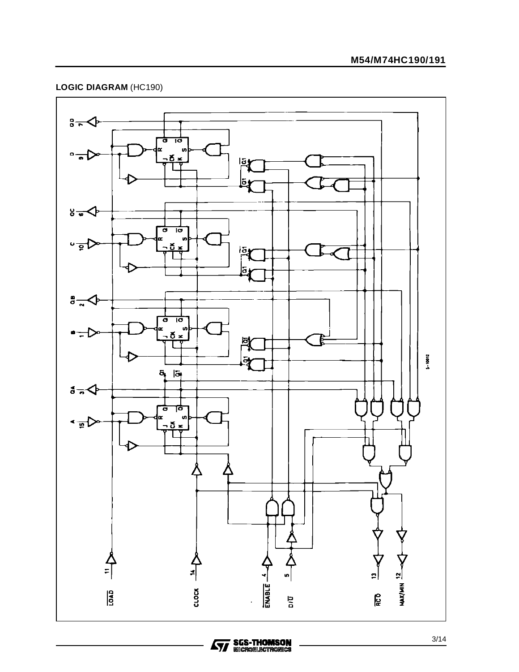# **LOGIC DIAGRAM** (HC190)



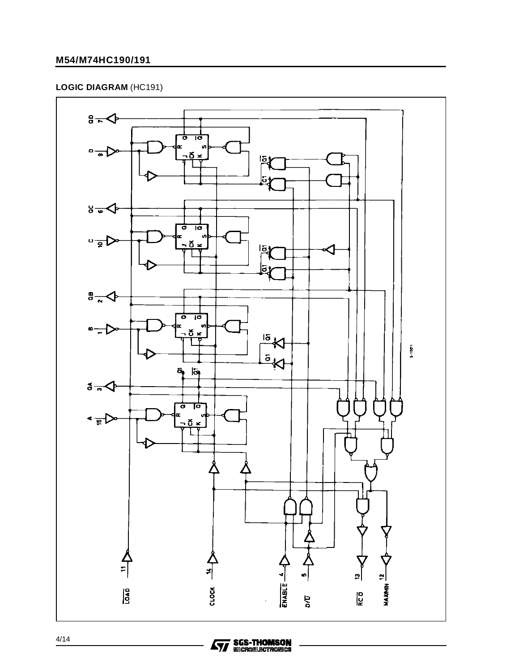### **M54/M74HC190/191**

## **LOGIC DIAGRAM** (HC191)



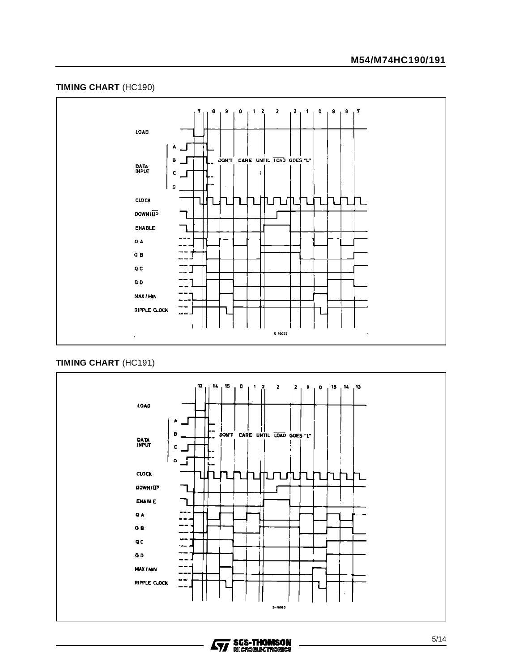#### **TIMING CHART** (HC190)



#### **TIMING CHART** (HC191)



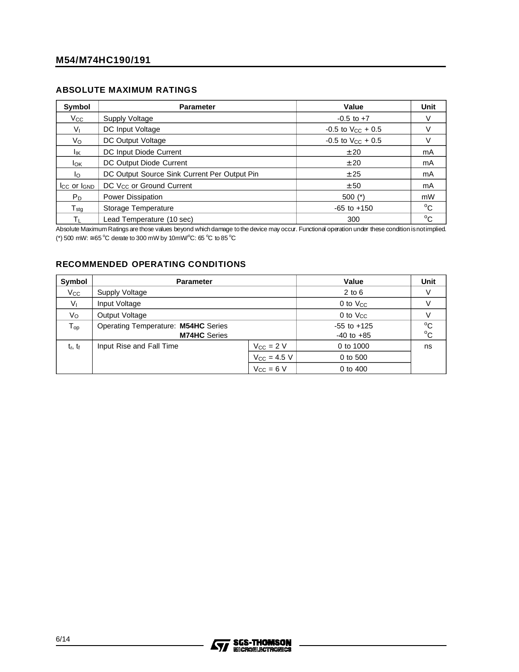#### **ABSOLUTE MAXIMUM RATINGS**

| Symbol                       | <b>Parameter</b>                             | Value                    | Unit         |
|------------------------------|----------------------------------------------|--------------------------|--------------|
| Vcc                          | Supply Voltage                               | $-0.5$ to $+7$           | V            |
| $V_{I}$                      | DC Input Voltage                             | $-0.5$ to $V_{CC}$ + 0.5 | V            |
| Vo                           | DC Output Voltage                            | $-0.5$ to $V_{CC}$ + 0.5 |              |
| lικ                          | DC Input Diode Current                       | ± 20                     | mA           |
| <b>I</b> ok                  | DC Output Diode Current                      | ± 20                     | mA           |
| lo.                          | DC Output Source Sink Current Per Output Pin | ± 25                     | mA           |
| Icc or IGND                  | DC V <sub>CC</sub> or Ground Current         | ± 50                     | mA           |
| $P_D$                        | Power Dissipation                            | $500$ (*)                | mW           |
| ${\mathsf T}_{\textsf{stg}}$ | Storage Temperature                          | $-65$ to $+150$          | $^{\circ}$ C |
| $\mathsf{T}_\mathsf{L}$      | Lead Temperature (10 sec)                    | 300                      | $^{\circ}C$  |

Absolute Maximum Ratings are those values beyond which damage to the device may occur. Functional operation under these condition is not implied. (\*) 500 mW:  $\approx$  65 °C derate to 300 mW by 10mW/°C: 65 °C to 85 °C

#### **RECOMMENDED OPERATING CONDITIONS**

| Symbol         | <b>Parameter</b>                                           |                  | Value                             | Unit                         |
|----------------|------------------------------------------------------------|------------------|-----------------------------------|------------------------------|
| $V_{\rm CC}$   | <b>Supply Voltage</b>                                      |                  | $2$ to $6$                        |                              |
| V <sub>1</sub> | Input Voltage                                              |                  | 0 to $V_{CC}$                     |                              |
| Vo             | Output Voltage                                             |                  | $0$ to $V_{CC}$                   |                              |
| ${\sf T_{op}}$ | Operating Temperature: M54HC Series<br><b>M74HC</b> Series |                  | $-55$ to $+125$<br>$-40$ to $+85$ | $^{\circ}$ C<br>$^{\circ}$ C |
| $t_r$ , $t_f$  | Input Rise and Fall Time                                   | $V_{CC}$ = 2 V   | 0 to 1000                         | ns                           |
|                |                                                            | $V_{CC} = 4.5 V$ | 0 to 500                          |                              |
|                |                                                            | $V_{CC} = 6 V$   | 0 to 400                          |                              |

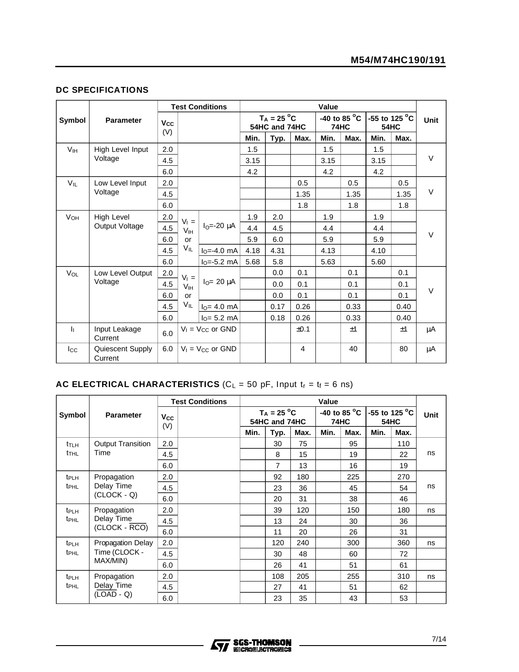#### **DC SPECIFICATIONS**

|                       |                             |                   |                 | <b>Test Conditions</b>         |      |                                |      | Value |                                       |      |                              |        |
|-----------------------|-----------------------------|-------------------|-----------------|--------------------------------|------|--------------------------------|------|-------|---------------------------------------|------|------------------------------|--------|
| Symbol                | <b>Parameter</b>            | <b>Vcc</b><br>(V) |                 |                                |      | $T_A = 25 °C$<br>54HC and 74HC |      |       | -40 to 85 $^{\circ}$ C<br><b>74HC</b> |      | -55 to 125 °C<br><b>54HC</b> | Unit   |
|                       |                             |                   |                 |                                | Min. | Typ.                           | Max. | Min.  | Max.                                  | Min. | Max.                         |        |
| V <sub>IH</sub>       | High Level Input            | 2.0               |                 |                                | 1.5  |                                |      | 1.5   |                                       | 1.5  |                              |        |
|                       | Voltage                     | 4.5               |                 |                                | 3.15 |                                |      | 3.15  |                                       | 3.15 |                              | $\vee$ |
|                       |                             | 6.0               |                 |                                | 4.2  |                                |      | 4.2   |                                       | 4.2  |                              |        |
| $V_{\rm II}$          | Low Level Input             | 2.0               |                 |                                |      |                                | 0.5  |       | 0.5                                   |      | 0.5                          |        |
|                       | Voltage                     | 4.5               |                 |                                |      |                                | 1.35 |       | 1.35                                  |      | 1.35                         | $\vee$ |
|                       |                             | 6.0               |                 |                                |      |                                | 1.8  |       | 1.8                                   |      | 1.8                          |        |
| <b>V<sub>OH</sub></b> | <b>High Level</b>           | 2.0               | $V_1 =$         |                                | 1.9  | 2.0                            |      | 1.9   |                                       | 1.9  |                              |        |
|                       | Output Voltage              | 4.5               | V <sub>IH</sub> | $IO=-20 \mu A$                 | 4.4  | 4.5                            |      | 4.4   |                                       | 4.4  |                              |        |
|                       |                             | 6.0               | <b>or</b>       |                                | 5.9  | 6.0                            |      | 5.9   |                                       | 5.9  |                              | $\vee$ |
|                       |                             | 4.5               | $V_{IL}$        | $I_0 = -4.0$ mA                | 4.18 | 4.31                           |      | 4.13  |                                       | 4.10 |                              |        |
|                       |                             | 6.0               |                 | $IO=-5.2$ mA                   | 5.68 | 5.8                            |      | 5.63  |                                       | 5.60 |                              |        |
| VOL                   | Low Level Output            | 2.0               | $V_1 =$         |                                |      | 0.0                            | 0.1  |       | 0.1                                   |      | 0.1                          |        |
|                       | Voltage                     | 4.5               | V <sub>IH</sub> | $IO= 20 \mu A$                 |      | 0.0                            | 0.1  |       | 0.1                                   |      | 0.1                          |        |
|                       |                             | 6.0               | or              |                                |      | 0.0                            | 0.1  |       | 0.1                                   |      | 0.1                          | V      |
|                       |                             | 4.5               | VIL             | $IO = 4.0$ mA                  |      | 0.17                           | 0.26 |       | 0.33                                  |      | 0.40                         |        |
|                       |                             | 6.0               |                 | $IO= 5.2 mA$                   |      | 0.18                           | 0.26 |       | 0.33                                  |      | 0.40                         |        |
| $\mathbf{h}$          | Input Leakage<br>Current    | 6.0               |                 | $V_1$ = V <sub>cc</sub> or GND |      |                                | ±0.1 |       | ±1                                    |      | ±1                           | μA     |
| $I_{\rm CC}$          | Quiescent Supply<br>Current | 6.0               |                 | $V_1 = V_{CC}$ or GND          |      |                                | 4    |       | 40                                    |      | 80                           | μA     |

## **AC ELECTRICAL CHARACTERISTICS** ( $C_L = 50$  pF, Input  $t_r = t_f = 6$  ns)

|                         |                          | <b>Test Conditions</b>       |      |                                |      | Value |                                       |                 |             |      |
|-------------------------|--------------------------|------------------------------|------|--------------------------------|------|-------|---------------------------------------|-----------------|-------------|------|
| Symbol                  | <b>Parameter</b>         | <b>V<sub>cc</sub></b><br>(V) |      | $T_A = 25 °C$<br>54HC and 74HC |      |       | -40 to 85 $^{\circ}$ C<br><b>74HC</b> | $-55$ to 125 °C | <b>54HC</b> | Unit |
|                         |                          |                              | Min. | Typ.                           | Max. | Min.  | Max.                                  | Min.            | Max.        |      |
| t <sub>t</sub>          | <b>Output Transition</b> | 2.0                          |      | 30                             | 75   |       | 95                                    |                 | 110         |      |
| t <sub>THL</sub>        | Time                     | 4.5                          |      | 8                              | 15   |       | 19                                    |                 | 22          | ns   |
|                         |                          | 6.0                          |      | $\overline{7}$                 | 13   |       | 16                                    |                 | 19          |      |
| t <sub>PLH</sub>        | Propagation              | 2.0                          |      | 92                             | 180  |       | 225                                   |                 | 270         |      |
| t <sub>PHL</sub>        | Delay Time               | 4.5                          |      | 23                             | 36   |       | 45                                    |                 | 54          | ns   |
|                         | $(CLOCK - Q)$            | 6.0                          |      | 20                             | 31   |       | 38                                    |                 | 46          |      |
| t <sub>PLH</sub>        | Propagation              | 2.0                          |      | 39                             | 120  |       | 150                                   |                 | 180         | ns   |
| <b>t</b> <sub>PHL</sub> | Delay Time               | 4.5                          |      | 13                             | 24   |       | 30                                    |                 | 36          |      |
|                         | (CLOCK - RCO)            | 6.0                          |      | 11                             | 20   |       | 26                                    |                 | 31          |      |
| t <sub>PLH</sub>        | <b>Propagation Delay</b> | 2.0                          |      | 120                            | 240  |       | 300                                   |                 | 360         | ns   |
| t <sub>PHL</sub>        | Time (CLOCK -            | 4.5                          |      | 30                             | 48   |       | 60                                    |                 | 72          |      |
|                         | MAX/MIN)                 | 6.0                          |      | 26                             | 41   |       | 51                                    |                 | 61          |      |
| t <sub>PLH</sub>        | Propagation              | 2.0                          |      | 108                            | 205  |       | 255                                   |                 | 310         | ns   |
| <b>t</b> <sub>PHL</sub> | Delay Time               | 4.5                          |      | 27                             | 41   |       | 51                                    |                 | 62          |      |
|                         | $(LOAD - Q)$             | 6.0                          |      | 23                             | 35   |       | 43                                    |                 | 53          |      |

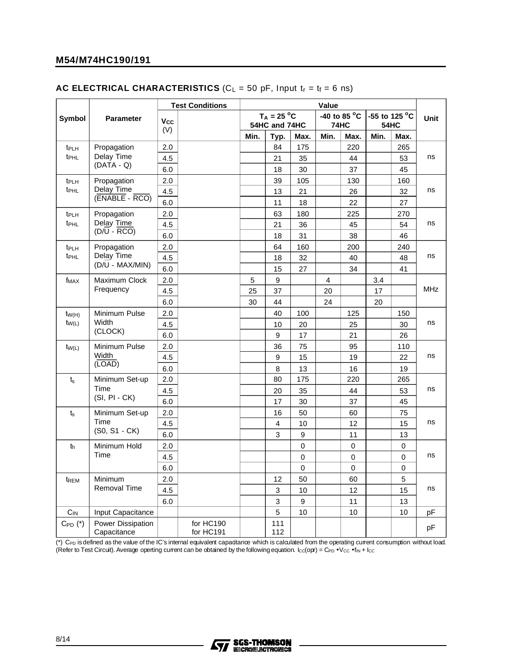#### **AC ELECTRICAL CHARACTERISTICS** ( $C_L = 50$  pF, Input  $t_r = t_f = 6$  ns)

|                  |                                         |            | <b>Test Conditions</b> |      |                                |      | Value |                      |      |                              |             |
|------------------|-----------------------------------------|------------|------------------------|------|--------------------------------|------|-------|----------------------|------|------------------------------|-------------|
| Symbol           | <b>Parameter</b>                        | Vcc<br>(V) |                        |      | $T_A = 25 °C$<br>54HC and 74HC |      |       | -40 to 85 °C<br>74HC |      | -55 to 125 °C<br><b>54HC</b> | <b>Unit</b> |
|                  |                                         |            |                        | Min. | Typ.                           | Max. | Min.  | Max.                 | Min. | Max.                         |             |
| $t_{PLH}$        | Propagation                             | 2.0        |                        |      | 84                             | 175  |       | 220                  |      | 265                          |             |
| t <sub>PHL</sub> | Delay Time                              | 4.5        |                        |      | 21                             | 35   |       | 44                   |      | 53                           | ns          |
|                  | $(DATA - Q)$                            | 6.0        |                        |      | 18                             | 30   |       | 37                   |      | 45                           |             |
| t <sub>PLH</sub> | Propagation                             | 2.0        |                        |      | 39                             | 105  |       | 130                  |      | 160                          |             |
| t <sub>PHL</sub> | Delay Time                              | 4.5        |                        |      | 13                             | 21   |       | 26                   |      | 32                           | ns          |
|                  | (ENABLE - RCO)                          | 6.0        |                        |      | 11                             | 18   |       | 22                   |      | 27                           |             |
| t <sub>PLH</sub> | Propagation                             | $2.0\,$    |                        |      | 63                             | 180  |       | 225                  |      | 270                          |             |
| t <sub>PHL</sub> | Delay Time                              | 4.5        |                        |      | 21                             | 36   |       | 45                   |      | 54                           | ns          |
|                  | $(D/\overline{U} - \overline{RCO})$     | 6.0        |                        |      | 18                             | 31   |       | 38                   |      | 46                           |             |
| t <sub>PLH</sub> | Propagation                             | 2.0        |                        |      | 64                             | 160  |       | 200                  |      | 240                          |             |
| t <sub>PHL</sub> | Delay Time                              | 4.5        |                        |      | 18                             | 32   |       | 40                   |      | 48                           | ns          |
|                  | $(D/U - MAX/MIN)$                       | 6.0        |                        |      | 15                             | 27   |       | 34                   |      | 41                           |             |
| f <sub>MAX</sub> | Maximum Clock                           | 2.0        |                        | 5    | 9                              |      | 4     |                      | 3.4  |                              |             |
|                  | Frequency                               | 4.5        |                        | 25   | 37                             |      | 20    |                      | 17   |                              | <b>MHz</b>  |
|                  |                                         | 6.0        |                        | 30   | 44                             |      | 24    |                      | 20   |                              |             |
| $t_{W(H)}$       | Minimum Pulse                           | 2.0        |                        |      | 40                             | 100  |       | 125                  |      | 150                          |             |
| $t_{W(L)}$       | Width                                   | 4.5        |                        |      | 10                             | 20   |       | 25                   |      | 30                           | ns          |
|                  | (CLOCK)                                 | 6.0        |                        |      | 9                              | 17   |       | 21                   |      | 26                           |             |
| $t_{W(L)}$       | Minimum Pulse                           | 2.0        |                        |      | 36                             | 75   |       | 95                   |      | 110                          |             |
|                  | Width                                   | 4.5        |                        |      | 9                              | 15   |       | 19                   |      | 22                           | ns          |
|                  | (LOAD)                                  | 6.0        |                        |      | 8                              | 13   |       | 16                   |      | 19                           |             |
| $t_s$            | Minimum Set-up                          | 2.0        |                        |      | 80                             | 175  |       | 220                  |      | 265                          |             |
|                  | Time                                    | 4.5        |                        |      | 20                             | 35   |       | 44                   |      | 53                           | ns          |
|                  | $(SI, PI - CK)$                         | 6.0        |                        |      | 17                             | 30   |       | 37                   |      | 45                           |             |
| t <sub>s</sub>   | Minimum Set-up                          | 2.0        |                        |      | 16                             | 50   |       | 60                   |      | 75                           |             |
|                  | Time                                    | 4.5        |                        |      | 4                              | 10   |       | 12                   |      | 15                           | ns          |
|                  | (S0, S1 - CK)                           | 6.0        |                        |      | 3                              | 9    |       | 11                   |      | 13                           |             |
| th               | Minimum Hold                            | 2.0        |                        |      |                                | 0    |       | 0                    |      | 0                            |             |
|                  | Time                                    | 4.5        |                        |      |                                | 0    |       | 0                    |      | 0                            | ns          |
|                  |                                         | 6.0        |                        |      |                                | 0    |       | 0                    |      | 0                            |             |
| t <sub>REM</sub> | Minimum                                 | 2.0        |                        |      | 12                             | 50   |       | 60                   |      | 5                            |             |
|                  | <b>Removal Time</b>                     | 4.5        |                        |      | 3                              | 10   |       | 12                   |      | 15                           | ns          |
|                  |                                         | 6.0        |                        |      | 3                              | 9    |       | 11                   |      | 13                           |             |
| $C_{IN}$         | Input Capacitance                       |            |                        |      | 5                              | 10   |       | 10                   |      | 10                           | рF          |
| $C_{PD}$ $(*)$   | <b>Power Dissipation</b><br>Capacitance |            | for HC190<br>for HC191 |      | 111<br>112                     |      |       |                      |      |                              | рF          |

 $(*)$  C<sub>PD</sub> is defined as the value of the IC's internal equivalent capadtance which is calculated from the operating current consumption without load. (Refer to Test Circuit). Average operting current can be obtained by the following equation.  $l_{\rm CC}$ (opr) = C<sub>PD</sub> • V<sub>CC</sub> • f<sub>IN</sub> +  $l_{\rm CC}$ 

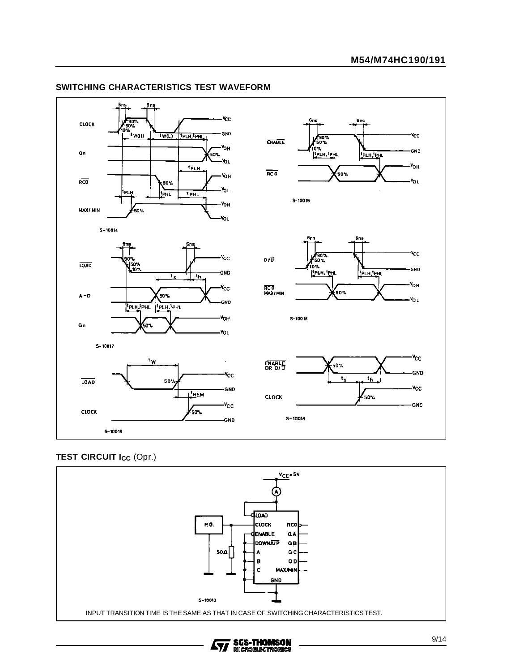

#### **SWITCHING CHARACTERISTICS TEST WAVEFORM**

#### **TEST CIRCUIT Icc (Opr.)**



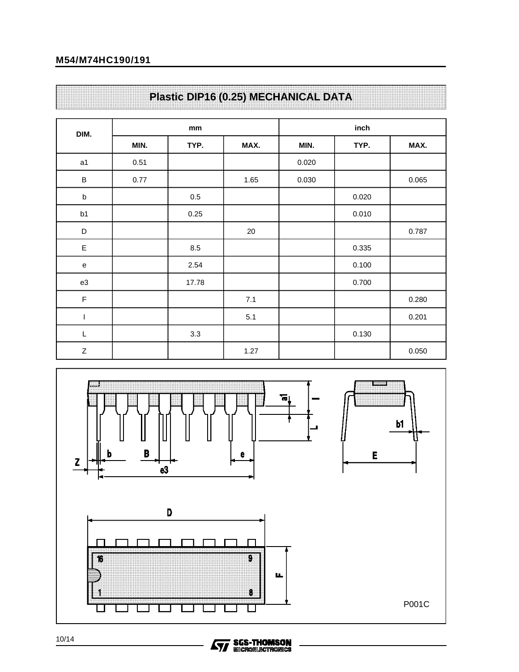# **M54/M74HC190/191**

|  |  |  |  |  |  |  |  |  |  |  |  |  |  |  |  |  |  |  |  |  |  |  |  |  |  |  |  | Plastic DIP16 (0.25) MECHANICAL DATA |  |
|--|--|--|--|--|--|--|--|--|--|--|--|--|--|--|--|--|--|--|--|--|--|--|--|--|--|--|--|--------------------------------------|--|
|  |  |  |  |  |  |  |  |  |  |  |  |  |  |  |  |  |  |  |  |  |  |  |  |  |  |  |  |                                      |  |
|  |  |  |  |  |  |  |  |  |  |  |  |  |  |  |  |  |  |  |  |  |  |  |  |  |  |  |  |                                      |  |
|  |  |  |  |  |  |  |  |  |  |  |  |  |  |  |  |  |  |  |  |  |  |  |  |  |  |  |  |                                      |  |
|  |  |  |  |  |  |  |  |  |  |  |  |  |  |  |  |  |  |  |  |  |  |  |  |  |  |  |  |                                      |  |

| DIM.        |      | $\mathop{\rm mm}\nolimits$ |        |       | inch  |       |
|-------------|------|----------------------------|--------|-------|-------|-------|
|             | MIN. | TYP.                       | MAX.   | MIN.  | TYP.  | MAX.  |
| a1          | 0.51 |                            |        | 0.020 |       |       |
| $\sf B$     | 0.77 |                            | 1.65   | 0.030 |       | 0.065 |
| $\sf b$     |      | $0.5\,$                    |        |       | 0.020 |       |
| b1          |      | 0.25                       |        |       | 0.010 |       |
| $\mathsf D$ |      |                            | $20\,$ |       |       | 0.787 |
| $\mathsf E$ |      | 8.5                        |        |       | 0.335 |       |
| e           |      | 2.54                       |        |       | 0.100 |       |
| e3          |      | 17.78                      |        |       | 0.700 |       |
| $\mathsf F$ |      |                            | 7.1    |       |       | 0.280 |
| I           |      |                            | 5.1    |       |       | 0.201 |
| L           |      | 3.3                        |        |       | 0.130 |       |
| Z           |      |                            | 1.27   |       |       | 0.050 |



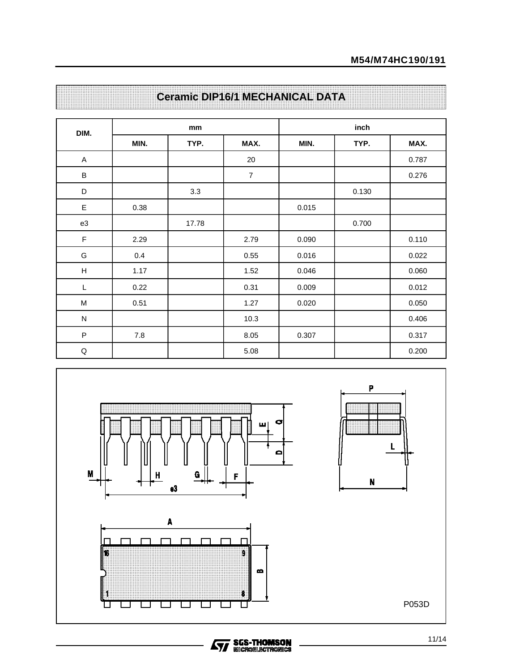| DIM.                                                                                  |      | mm    |                  |       | inch  |       |
|---------------------------------------------------------------------------------------|------|-------|------------------|-------|-------|-------|
|                                                                                       | MIN. | TYP.  | MAX.             | MIN.  | TYP.  | MAX.  |
| A                                                                                     |      |       | 20               |       |       | 0.787 |
| $\sf B$                                                                               |      |       | $\boldsymbol{7}$ |       |       | 0.276 |
| D                                                                                     |      | 3.3   |                  |       | 0.130 |       |
| $\mathsf E$                                                                           | 0.38 |       |                  | 0.015 |       |       |
| e3                                                                                    |      | 17.78 |                  |       | 0.700 |       |
| $\mathsf F$                                                                           | 2.29 |       | 2.79             | 0.090 |       | 0.110 |
| G                                                                                     | 0.4  |       | 0.55             | 0.016 |       | 0.022 |
| $\boldsymbol{\mathsf{H}}$                                                             | 1.17 |       | 1.52             | 0.046 |       | 0.060 |
| L                                                                                     | 0.22 |       | 0.31             | 0.009 |       | 0.012 |
| $\mathsf{M}% _{T}=\mathsf{M}_{T}\!\left( a,b\right) ,\ \mathsf{M}_{T}=\mathsf{M}_{T}$ | 0.51 |       | 1.27             | 0.020 |       | 0.050 |
| ${\sf N}$                                                                             |      |       | 10.3             |       |       | 0.406 |
| $\sf P$                                                                               | 7.8  |       | 8.05             | 0.307 |       | 0.317 |
| $\mathsf Q$                                                                           |      |       | 5.08             |       |       | 0.200 |





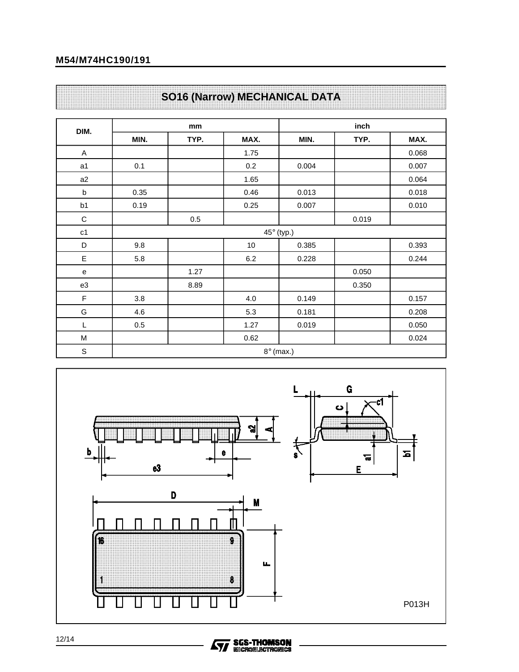# **M54/M74HC190/191**

| DIM.           |      | mm   |         |                   | inch  |       |
|----------------|------|------|---------|-------------------|-------|-------|
|                | MIN. | TYP. | MAX.    | MIN.              | TYP.  | MAX.  |
| $\mathsf A$    |      |      | 1.75    |                   |       | 0.068 |
| a <sub>1</sub> | 0.1  |      | 0.2     | 0.004             |       | 0.007 |
| a2             |      |      | 1.65    |                   |       | 0.064 |
| $\sf b$        | 0.35 |      | 0.46    | 0.013             |       | 0.018 |
| b <sub>1</sub> | 0.19 |      | 0.25    | 0.007             |       | 0.010 |
| $\mathsf C$    |      | 0.5  |         |                   | 0.019 |       |
| c1             |      |      |         | $45^\circ$ (typ.) |       |       |
| D              | 9.8  |      | $10$    | 0.385             |       | 0.393 |
| E              | 5.8  |      | $6.2\,$ | 0.228             |       | 0.244 |
| e              |      | 1.27 |         |                   | 0.050 |       |
| e3             |      | 8.89 |         |                   | 0.350 |       |
| F              | 3.8  |      | 4.0     | 0.149             |       | 0.157 |
| G              | 4.6  |      | 5.3     | 0.181             |       | 0.208 |
| L              | 0.5  |      | 1.27    | 0.019             |       | 0.050 |
| M              |      |      | 0.62    |                   |       | 0.024 |

# **SO16 (Narrow) MECHANICAL DATA**



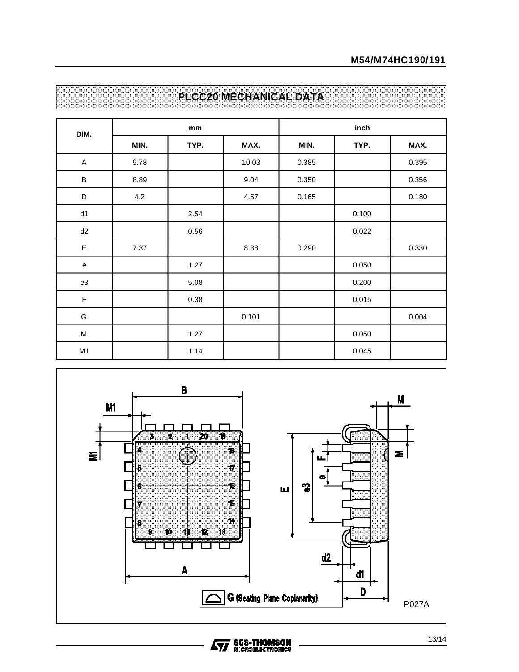| DIM.           |      | mm   |       |       | inch  |       |
|----------------|------|------|-------|-------|-------|-------|
|                | MIN. | TYP. | MAX.  | MIN.  | TYP.  | MAX.  |
| $\mathsf{A}$   | 9.78 |      | 10.03 | 0.385 |       | 0.395 |
| B              | 8.89 |      | 9.04  | 0.350 |       | 0.356 |
| $\mathsf D$    | 4.2  |      | 4.57  | 0.165 |       | 0.180 |
| d1             |      | 2.54 |       |       | 0.100 |       |
| d2             |      | 0.56 |       |       | 0.022 |       |
| E              | 7.37 |      | 8.38  | 0.290 |       | 0.330 |
| e              |      | 1.27 |       |       | 0.050 |       |
| e3             |      | 5.08 |       |       | 0.200 |       |
| F              |      | 0.38 |       |       | 0.015 |       |
| G              |      |      | 0.101 |       |       | 0.004 |
| M              |      | 1.27 |       |       | 0.050 |       |
| M <sub>1</sub> |      | 1.14 |       |       | 0.045 |       |